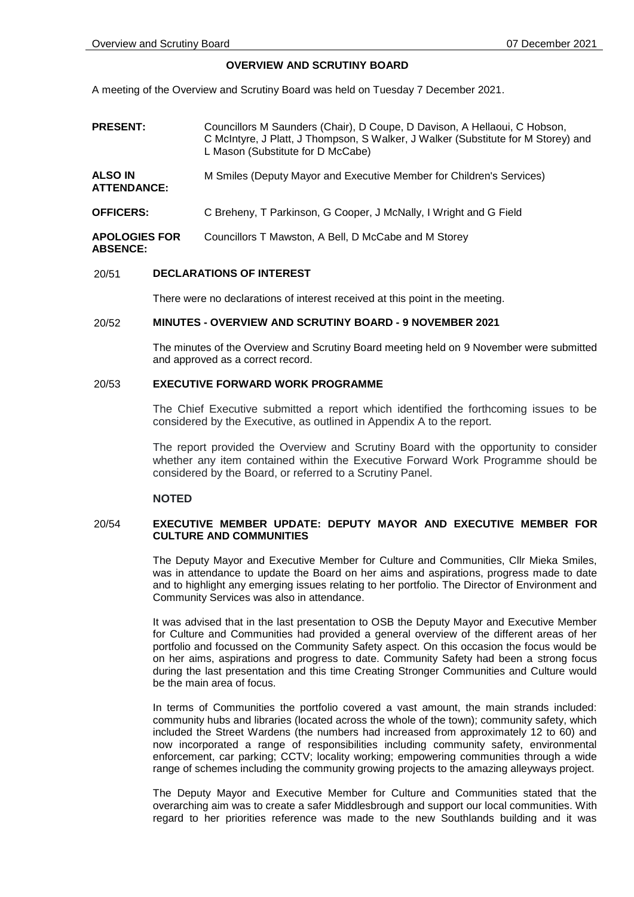### **OVERVIEW AND SCRUTINY BOARD**

A meeting of the Overview and Scrutiny Board was held on Tuesday 7 December 2021.

**PRESENT:** Councillors M Saunders (Chair), D Coupe, D Davison, A Hellaoui, C Hobson, C McIntyre, J Platt, J Thompson, S Walker, J Walker (Substitute for M Storey) and L Mason (Substitute for D McCabe) **ALSO IN ATTENDANCE:** M Smiles (Deputy Mayor and Executive Member for Children's Services) **OFFICERS:** C Breheny, T Parkinson, G Cooper, J McNally, I Wright and G Field

#### **APOLOGIES FOR ABSENCE:** Councillors T Mawston, A Bell, D McCabe and M Storey

### 20/51 **DECLARATIONS OF INTEREST**

There were no declarations of interest received at this point in the meeting.

#### 20/52 **MINUTES - OVERVIEW AND SCRUTINY BOARD - 9 NOVEMBER 2021**

The minutes of the Overview and Scrutiny Board meeting held on 9 November were submitted and approved as a correct record.

# 20/53 **EXECUTIVE FORWARD WORK PROGRAMME**

The Chief Executive submitted a report which identified the forthcoming issues to be considered by the Executive, as outlined in Appendix A to the report.

The report provided the Overview and Scrutiny Board with the opportunity to consider whether any item contained within the Executive Forward Work Programme should be considered by the Board, or referred to a Scrutiny Panel.

### **NOTED**

### 20/54 **EXECUTIVE MEMBER UPDATE: DEPUTY MAYOR AND EXECUTIVE MEMBER FOR CULTURE AND COMMUNITIES**

The Deputy Mayor and Executive Member for Culture and Communities, Cllr Mieka Smiles, was in attendance to update the Board on her aims and aspirations, progress made to date and to highlight any emerging issues relating to her portfolio. The Director of Environment and Community Services was also in attendance.

It was advised that in the last presentation to OSB the Deputy Mayor and Executive Member for Culture and Communities had provided a general overview of the different areas of her portfolio and focussed on the Community Safety aspect. On this occasion the focus would be on her aims, aspirations and progress to date. Community Safety had been a strong focus during the last presentation and this time Creating Stronger Communities and Culture would be the main area of focus.

In terms of Communities the portfolio covered a vast amount, the main strands included: community hubs and libraries (located across the whole of the town); community safety, which included the Street Wardens (the numbers had increased from approximately 12 to 60) and now incorporated a range of responsibilities including community safety, environmental enforcement, car parking; CCTV; locality working; empowering communities through a wide range of schemes including the community growing projects to the amazing alleyways project.

The Deputy Mayor and Executive Member for Culture and Communities stated that the overarching aim was to create a safer Middlesbrough and support our local communities. With regard to her priorities reference was made to the new Southlands building and it was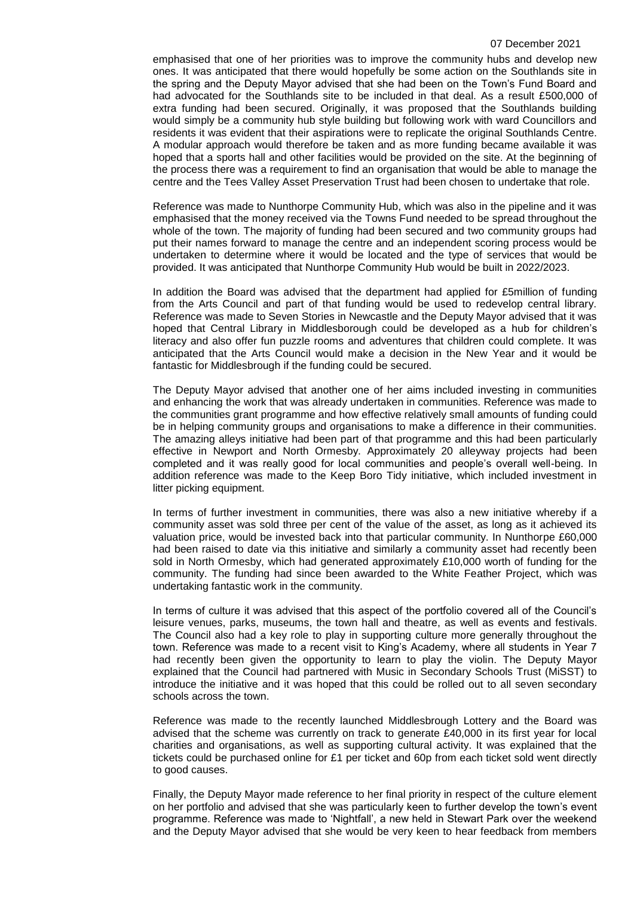emphasised that one of her priorities was to improve the community hubs and develop new ones. It was anticipated that there would hopefully be some action on the Southlands site in the spring and the Deputy Mayor advised that she had been on the Town's Fund Board and had advocated for the Southlands site to be included in that deal. As a result £500,000 of extra funding had been secured. Originally, it was proposed that the Southlands building would simply be a community hub style building but following work with ward Councillors and residents it was evident that their aspirations were to replicate the original Southlands Centre. A modular approach would therefore be taken and as more funding became available it was hoped that a sports hall and other facilities would be provided on the site. At the beginning of the process there was a requirement to find an organisation that would be able to manage the centre and the Tees Valley Asset Preservation Trust had been chosen to undertake that role.

Reference was made to Nunthorpe Community Hub, which was also in the pipeline and it was emphasised that the money received via the Towns Fund needed to be spread throughout the whole of the town. The majority of funding had been secured and two community groups had put their names forward to manage the centre and an independent scoring process would be undertaken to determine where it would be located and the type of services that would be provided. It was anticipated that Nunthorpe Community Hub would be built in 2022/2023.

In addition the Board was advised that the department had applied for £5million of funding from the Arts Council and part of that funding would be used to redevelop central library. Reference was made to Seven Stories in Newcastle and the Deputy Mayor advised that it was hoped that Central Library in Middlesborough could be developed as a hub for children's literacy and also offer fun puzzle rooms and adventures that children could complete. It was anticipated that the Arts Council would make a decision in the New Year and it would be fantastic for Middlesbrough if the funding could be secured.

The Deputy Mayor advised that another one of her aims included investing in communities and enhancing the work that was already undertaken in communities. Reference was made to the communities grant programme and how effective relatively small amounts of funding could be in helping community groups and organisations to make a difference in their communities. The amazing alleys initiative had been part of that programme and this had been particularly effective in Newport and North Ormesby. Approximately 20 alleyway projects had been completed and it was really good for local communities and people's overall well-being. In addition reference was made to the Keep Boro Tidy initiative, which included investment in litter picking equipment.

In terms of further investment in communities, there was also a new initiative whereby if a community asset was sold three per cent of the value of the asset, as long as it achieved its valuation price, would be invested back into that particular community. In Nunthorpe £60,000 had been raised to date via this initiative and similarly a community asset had recently been sold in North Ormesby, which had generated approximately £10,000 worth of funding for the community. The funding had since been awarded to the White Feather Project, which was undertaking fantastic work in the community.

In terms of culture it was advised that this aspect of the portfolio covered all of the Council's leisure venues, parks, museums, the town hall and theatre, as well as events and festivals. The Council also had a key role to play in supporting culture more generally throughout the town. Reference was made to a recent visit to King's Academy, where all students in Year 7 had recently been given the opportunity to learn to play the violin. The Deputy Mayor explained that the Council had partnered with Music in Secondary Schools Trust (MiSST) to introduce the initiative and it was hoped that this could be rolled out to all seven secondary schools across the town.

Reference was made to the recently launched Middlesbrough Lottery and the Board was advised that the scheme was currently on track to generate £40,000 in its first year for local charities and organisations, as well as supporting cultural activity. It was explained that the tickets could be purchased online for £1 per ticket and 60p from each ticket sold went directly to good causes.

Finally, the Deputy Mayor made reference to her final priority in respect of the culture element on her portfolio and advised that she was particularly keen to further develop the town's event programme. Reference was made to 'Nightfall', a new held in Stewart Park over the weekend and the Deputy Mayor advised that she would be very keen to hear feedback from members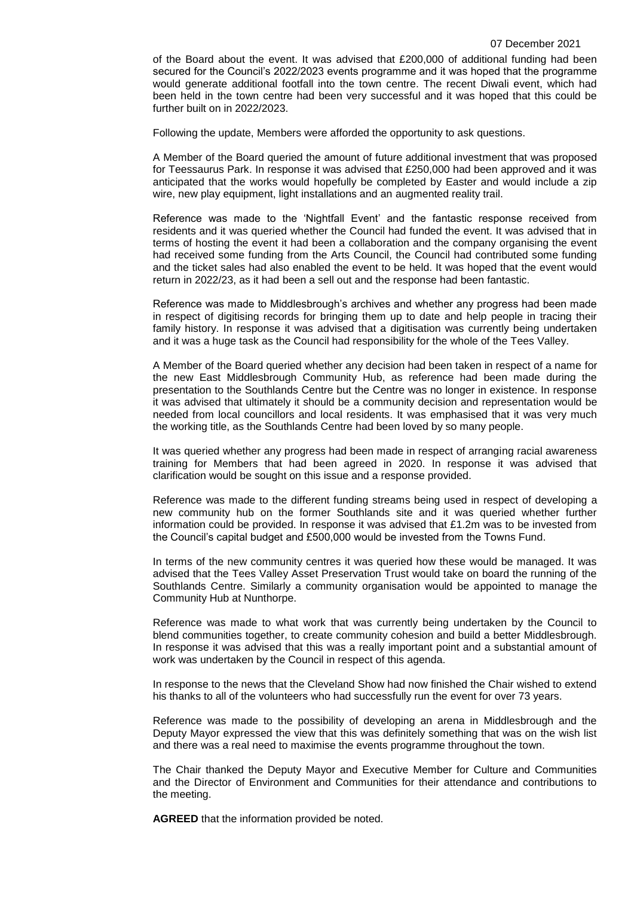of the Board about the event. It was advised that £200,000 of additional funding had been secured for the Council's 2022/2023 events programme and it was hoped that the programme would generate additional footfall into the town centre. The recent Diwali event, which had been held in the town centre had been very successful and it was hoped that this could be further built on in 2022/2023.

Following the update, Members were afforded the opportunity to ask questions.

A Member of the Board queried the amount of future additional investment that was proposed for Teessaurus Park. In response it was advised that £250,000 had been approved and it was anticipated that the works would hopefully be completed by Easter and would include a zip wire, new play equipment, light installations and an augmented reality trail.

Reference was made to the 'Nightfall Event' and the fantastic response received from residents and it was queried whether the Council had funded the event. It was advised that in terms of hosting the event it had been a collaboration and the company organising the event had received some funding from the Arts Council, the Council had contributed some funding and the ticket sales had also enabled the event to be held. It was hoped that the event would return in 2022/23, as it had been a sell out and the response had been fantastic.

Reference was made to Middlesbrough's archives and whether any progress had been made in respect of digitising records for bringing them up to date and help people in tracing their family history. In response it was advised that a digitisation was currently being undertaken and it was a huge task as the Council had responsibility for the whole of the Tees Valley.

A Member of the Board queried whether any decision had been taken in respect of a name for the new East Middlesbrough Community Hub, as reference had been made during the presentation to the Southlands Centre but the Centre was no longer in existence. In response it was advised that ultimately it should be a community decision and representation would be needed from local councillors and local residents. It was emphasised that it was very much the working title, as the Southlands Centre had been loved by so many people.

It was queried whether any progress had been made in respect of arranging racial awareness training for Members that had been agreed in 2020. In response it was advised that clarification would be sought on this issue and a response provided.

Reference was made to the different funding streams being used in respect of developing a new community hub on the former Southlands site and it was queried whether further information could be provided. In response it was advised that £1.2m was to be invested from the Council's capital budget and £500,000 would be invested from the Towns Fund.

In terms of the new community centres it was queried how these would be managed. It was advised that the Tees Valley Asset Preservation Trust would take on board the running of the Southlands Centre. Similarly a community organisation would be appointed to manage the Community Hub at Nunthorpe.

Reference was made to what work that was currently being undertaken by the Council to blend communities together, to create community cohesion and build a better Middlesbrough. In response it was advised that this was a really important point and a substantial amount of work was undertaken by the Council in respect of this agenda.

In response to the news that the Cleveland Show had now finished the Chair wished to extend his thanks to all of the volunteers who had successfully run the event for over 73 years.

Reference was made to the possibility of developing an arena in Middlesbrough and the Deputy Mayor expressed the view that this was definitely something that was on the wish list and there was a real need to maximise the events programme throughout the town.

The Chair thanked the Deputy Mayor and Executive Member for Culture and Communities and the Director of Environment and Communities for their attendance and contributions to the meeting.

**AGREED** that the information provided be noted.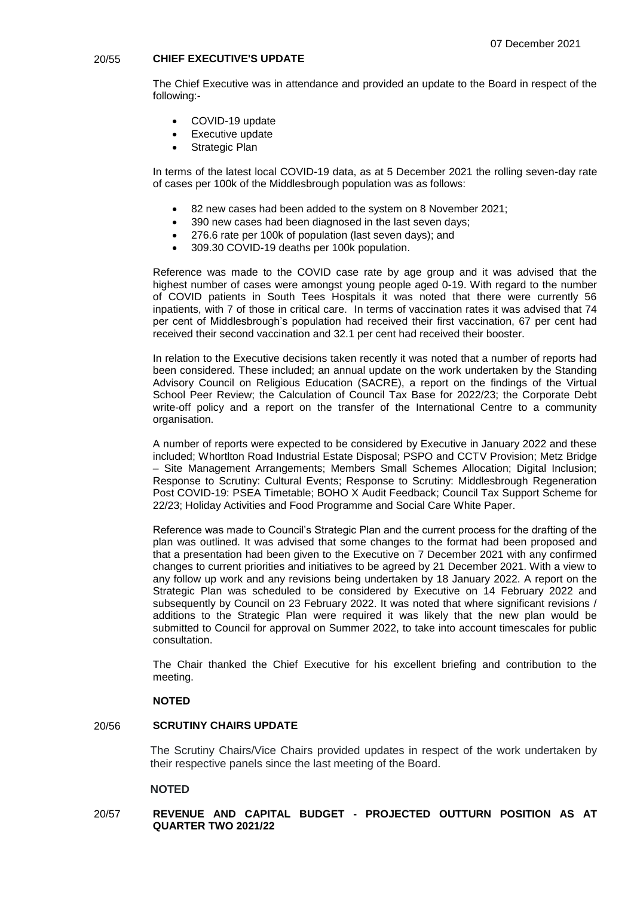## 20/55 **CHIEF EXECUTIVE'S UPDATE**

The Chief Executive was in attendance and provided an update to the Board in respect of the following:-

- COVID-19 update
- Executive update
- Strategic Plan

In terms of the latest local COVID-19 data, as at 5 December 2021 the rolling seven-day rate of cases per 100k of the Middlesbrough population was as follows:

- 82 new cases had been added to the system on 8 November 2021;
- 390 new cases had been diagnosed in the last seven days;
- 276.6 rate per 100k of population (last seven days); and
- 309.30 COVID-19 deaths per 100k population.

Reference was made to the COVID case rate by age group and it was advised that the highest number of cases were amongst young people aged 0-19. With regard to the number of COVID patients in South Tees Hospitals it was noted that there were currently 56 inpatients, with 7 of those in critical care. In terms of vaccination rates it was advised that 74 per cent of Middlesbrough's population had received their first vaccination, 67 per cent had received their second vaccination and 32.1 per cent had received their booster.

In relation to the Executive decisions taken recently it was noted that a number of reports had been considered. These included; an annual update on the work undertaken by the Standing Advisory Council on Religious Education (SACRE), a report on the findings of the Virtual School Peer Review; the Calculation of Council Tax Base for 2022/23; the Corporate Debt write-off policy and a report on the transfer of the International Centre to a community organisation.

A number of reports were expected to be considered by Executive in January 2022 and these included; Whortlton Road Industrial Estate Disposal; PSPO and CCTV Provision; Metz Bridge – Site Management Arrangements; Members Small Schemes Allocation; Digital Inclusion; Response to Scrutiny: Cultural Events; Response to Scrutiny: Middlesbrough Regeneration Post COVID-19: PSEA Timetable; BOHO X Audit Feedback; Council Tax Support Scheme for 22/23; Holiday Activities and Food Programme and Social Care White Paper.

Reference was made to Council's Strategic Plan and the current process for the drafting of the plan was outlined. It was advised that some changes to the format had been proposed and that a presentation had been given to the Executive on 7 December 2021 with any confirmed changes to current priorities and initiatives to be agreed by 21 December 2021. With a view to any follow up work and any revisions being undertaken by 18 January 2022. A report on the Strategic Plan was scheduled to be considered by Executive on 14 February 2022 and subsequently by Council on 23 February 2022. It was noted that where significant revisions / additions to the Strategic Plan were required it was likely that the new plan would be submitted to Council for approval on Summer 2022, to take into account timescales for public consultation.

The Chair thanked the Chief Executive for his excellent briefing and contribution to the meeting.

### **NOTED**

### 20/56 **SCRUTINY CHAIRS UPDATE**

The Scrutiny Chairs/Vice Chairs provided updates in respect of the work undertaken by their respective panels since the last meeting of the Board.

### **NOTED**

## 20/57 **REVENUE AND CAPITAL BUDGET - PROJECTED OUTTURN POSITION AS AT QUARTER TWO 2021/22**